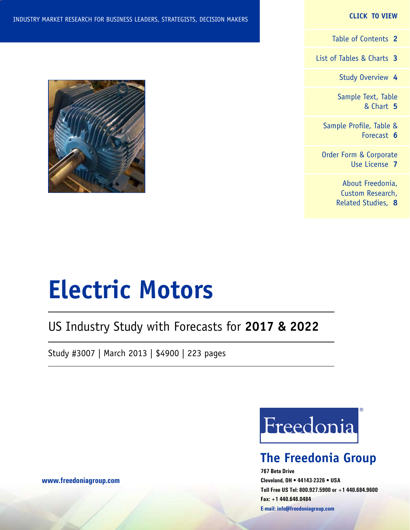#### **CLICK TO VIEW**

[Table of Contents](#page-1-0) **2**

[List of Tables & Charts](#page-2-0) **3**

[Study Overview](#page-3-0) **4**

[Sample Text, Table](#page-4-0) [& Chart](#page-4-0) **5**

[Sample Profile, Table &](#page-5-0) [Forecast](#page-5-0) **6**

[Order Form & Corporate](#page-6-0) [Use License](#page-6-0) **7**

> [About Freedonia,](#page-7-0) [Custom Research,](#page-7-0) [Related Studies,](#page-7-0) **8**



# **Electric Motors**

## US Industry Study with Forecasts for **2017 & 2022**

Study #3007 | March 2013 | \$4900 | 223 pages



## **The Freedonia Group**

**767 Beta Drive Cleveland, OH • 44143-2326 • USA Toll Free US Tel: 800.927.5900 or +1 440.684.9600 Fax: +1 440.646.0484 E-mail: [info@freedoniagroup.com](mailto:info@freedoniagroup.com)**

**[www.freedoniagroup.com](http://www.freedoniagroup.com/Home.aspx?ReferrerId=FM-Bro)**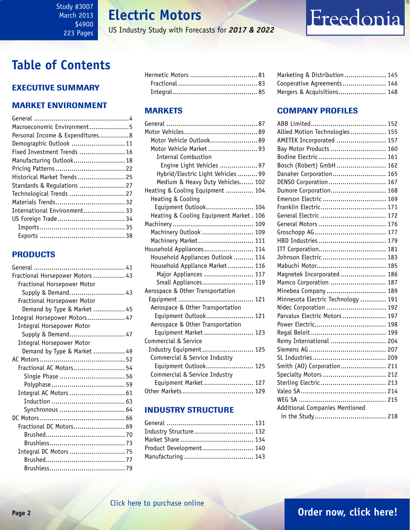#### <span id="page-1-0"></span>Study #3007 March 2013 \$4900 223 Pages

**Electric Motors**

US Industry Study with Forecasts for *2017 & 2022*

## **Table of Contents**

### Executive Summary

#### Market EnvironmenT

| Macroeconomic Environment5      |  |
|---------------------------------|--|
| Personal Income & Expenditures8 |  |
| Demographic Outlook  11         |  |
| Fixed Investment Trends  16     |  |
| Manufacturing Outlook 18        |  |
|                                 |  |
| Historical Market Trends 25     |  |
| Standards & Regulations  27     |  |
| Technological Trends  27        |  |
|                                 |  |
| International Environment 33    |  |
|                                 |  |
|                                 |  |
|                                 |  |

#### **PRODUCTS**

| Fractional Horsepower Motors  43 |  |
|----------------------------------|--|
| Fractional Horsepower Motor      |  |
| Supply & Demand 43               |  |
| Fractional Horsepower Motor      |  |
| Demand by Type & Market  45      |  |
| Integral Horsepower Motors 47    |  |
| <b>Integral Horsepower Motor</b> |  |
| Supply & Demand 47               |  |
| Integral Horsepower Motor        |  |
| Demand by Type & Market  49      |  |
|                                  |  |
| Fractional AC Motors 54          |  |
|                                  |  |
|                                  |  |
| Integral AC Motors  61           |  |
|                                  |  |
| Synchronous  64                  |  |
|                                  |  |
| Fractional DC Motors 69          |  |
|                                  |  |
|                                  |  |
| Integral DC Motors  75           |  |
|                                  |  |
|                                  |  |

#### MARKETS

| Motor Vehicle Outlook 89                |  |
|-----------------------------------------|--|
| Motor Vehicle Market93                  |  |
| <b>Internal Combustion</b>              |  |
| Engine Light Vehicles  97               |  |
| Hybrid/Electric Light Vehicles  99      |  |
| Medium & Heavy Duty Vehicles 102        |  |
| Heating & Cooling Equipment  104        |  |
| Heating & Cooling                       |  |
| Equipment Outlook 104                   |  |
| Heating & Cooling Equipment Market. 106 |  |
|                                         |  |
| Machinery Outlook  109                  |  |
| Machinery Market 111                    |  |
| Household Appliances 114                |  |
| Household Appliances Outlook  114       |  |
| Household Appliance Market 116          |  |
| Major Appliances  117                   |  |
| Small Appliances 119                    |  |
| Aerospace & Other Transportation        |  |
|                                         |  |
| Aerospace & Other Transportation        |  |
| Equipment Outlook 121                   |  |
| Aerospace & Other Transportation        |  |
| Equipment Market  123                   |  |
| Commercial & Service                    |  |
| Industry Equipment 125                  |  |
| Commercial & Service Industry           |  |
| Equipment Outlook 125                   |  |
| Commercial & Service Industry           |  |
| Equipment Market  127                   |  |
|                                         |  |

#### INDUSTRY STRUCTURE

| Industry Structure 132  |  |
|-------------------------|--|
|                         |  |
| Product Development 140 |  |
|                         |  |

| Marketing & Distribution 145 |  |
|------------------------------|--|
| Cooperative Agreements 146   |  |
| Mergers & Acquisitions 148   |  |

Freedonia

#### Company Profiles

| Allied Motion Technologies  155       |
|---------------------------------------|
| AMETEK Incorporated  157              |
| Bay Motor Products  160               |
| Bodine Electric  161                  |
| Bosch (Robert) GmbH 162               |
| Danaher Corporation 165               |
| DENSO Corporation 167                 |
| Dumore Corporation 168                |
| Emerson Electric  169                 |
| Franklin Electric 171                 |
| General Electric  172                 |
| General Motors  176                   |
|                                       |
| HBD Industries  179                   |
| ITT Corporation 181                   |
| Johnson Electric  183                 |
|                                       |
| Magnetek Incorporated  186            |
| Mamco Corporation  187                |
| Minebea Company  189                  |
| Minnesota Electric Technology  191    |
| Nidec Corporation  192                |
| Parvalux Electric Motors  197         |
|                                       |
|                                       |
| Remy International  204               |
|                                       |
|                                       |
| Smith (A0) Corporation 211            |
| Specialty Motors  212                 |
| Sterling Electric  213                |
|                                       |
|                                       |
| <b>Additional Companies Mentioned</b> |
|                                       |
|                                       |

## **Page 2 [Order now, click here!](#page-6-0)**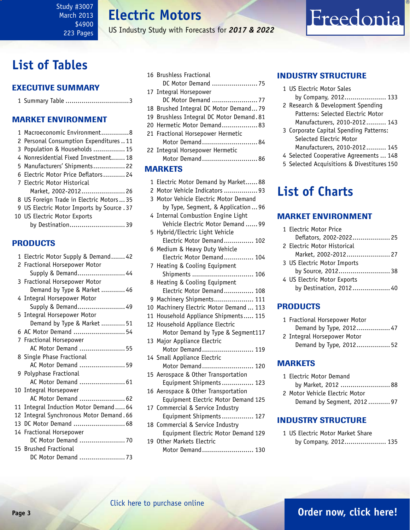**Electric Motors**

US Industry Study with Forecasts for *2017 & 2022*

## <span id="page-2-0"></span>**List of Tables**

#### Executive Summary

| 1 Summary Table 3 |  |
|-------------------|--|
|-------------------|--|

#### Market EnvironmenT

| 1 Macroeconomic Environment8               |
|--------------------------------------------|
| 2 Personal Consumption Expenditures11      |
| 3 Population & Households  15              |
| 4 Nonresidential Fixed Investment 18       |
| 5 Manufacturers' Shipments 22              |
| 6 Electric Motor Price Deflators 24        |
| 7 Electric Motor Historical                |
| Market, 2002-2012 26                       |
| 8 US Foreign Trade in Electric Motors  35  |
| 9 US Electric Motor Imports by Source . 37 |
| 10 US Electric Motor Exports               |
| by Destination 39                          |
|                                            |

#### PRODUCTS

| 1 Electric Motor Supply & Demand 42      |
|------------------------------------------|
| 2 Fractional Horsepower Motor            |
| Supply & Demand 44                       |
| 3 Fractional Horsepower Motor            |
| Demand by Type & Market  46              |
| 4 Integral Horsepower Motor              |
| Supply & Demand 49                       |
| 5 Integral Horsepower Motor              |
| Demand by Type & Market  51              |
| 6 AC Motor Demand  54                    |
| 7 Fractional Horsepower                  |
| AC Motor Demand  55                      |
| 8 Single Phase Fractional                |
| AC Motor Demand  59                      |
| 9 Polyphase Fractional                   |
| AC Motor Demand  61                      |
| 10 Integral Horsepower                   |
| AC Motor Demand  62                      |
| 11 Integral Induction Motor Demand 64    |
| 12 Integral Synchronous Motor Demand. 66 |
| 13 DC Motor Demand  68                   |
| 14 Fractional Horsepower                 |
| DC Motor Demand  70                      |
| 15 Brushed Fractional                    |
| DC Motor Demand  73                      |

|                | 16 Brushless Fractional<br>DC Motor Demand  75 |  |
|----------------|------------------------------------------------|--|
|                | 17 Integral Horsepower                         |  |
|                | DC Motor Demand 77                             |  |
|                | 18 Brushed Integral DC Motor Demand79          |  |
|                | 19 Brushless Integral DC Motor Demand. 81      |  |
|                | 20 Hermetic Motor Demand 83                    |  |
|                | 21 Fractional Horsepower Hermetic              |  |
|                | Motor Demand84                                 |  |
|                | 22 Integral Horsepower Hermetic                |  |
|                | Motor Demand86                                 |  |
| <b>MARKETS</b> |                                                |  |

#### 1 Electric Motor Demand by Market...... 88 2 Motor Vehicle Indicators ................. 93 3 Motor Vehicle Electric Motor Demand by Type, Segment, & Application ... 96 4 Internal Combustion Engine Light Vehicle Electric Motor Demand ...... 99 5 Hybrid/Electric Light Vehicle Electric Motor Demand............... 102 6 Medium & Heavy Duty Vehicle Electric Motor Demand............... 104 7 Heating & Cooling Equipment Shipments ............................... 106 8 Heating & Cooling Equipment Electric Motor Demand............... 108 9 Machinery Shipments.................... 111 10 Machinery Electric Motor Demand ... 113 11 Household Appliance Shipments..... 115 12 Household Appliance Electric Motor Demand by Type & Segment117 13 Major Appliance Electric Motor Demand.......................... 119 14 Small Appliance Electric Motor Demand.............................. 120 15 Aerospace & Other Transportation Equipment Shipments................ 123 16 Aerospace & Other Transportation Equipment Electric Motor Demand 125 17 Commercial & Service Industry Equipment Shipments................ 127 18 Commercial & Service Industry Equipment Electric Motor Demand 129 19 Other Markets Electric

Motor Demand.......................... 130

#### INDUSTRY STRUCTURE

- 1 US Electric Motor Sales
- by Company, 2012..................... 133
- 2 Research & Development Spending Patterns: Selected Electric Motor Manufacturers, 2010-2012.......... 143

Freedonia

- 3 Corporate Capital Spending Patterns: Selected Electric Motor Manufacturers, 2010-2012.......... 145
- 4 Selected Cooperative Agreements ... 148
- 5 Selected Acquisitions & Divestitures 150

## **List of Charts**

#### Market EnvironmenT

| 1 Electric Motor Price      |  |
|-----------------------------|--|
| Deflators, 2002-2022 25     |  |
| 2 Electric Motor Historical |  |
| Market, 2002-2012 27        |  |
| 3 US Electric Motor Imports |  |
| by Source, 2012 38          |  |
| 4 US Electric Motor Exports |  |
| by Destination, 2012 40     |  |
|                             |  |

#### PRODUCTS

| 1 Fractional Horsepower Motor |
|-------------------------------|
| Demand by Type, 2012 47       |
| 2 Integral Horsepower Motor   |
| Demand by Type, 2012 52       |

#### MARKETS

| 1 Electric Motor Demand        |  |
|--------------------------------|--|
| by Market, 2012  88            |  |
| 2 Motor Vehicle Electric Motor |  |
| Demand by Segment, 2012  97    |  |

#### INDUSTRY STRUCTURE

1 US Electric Motor Market Share by Company, 2012..................... 135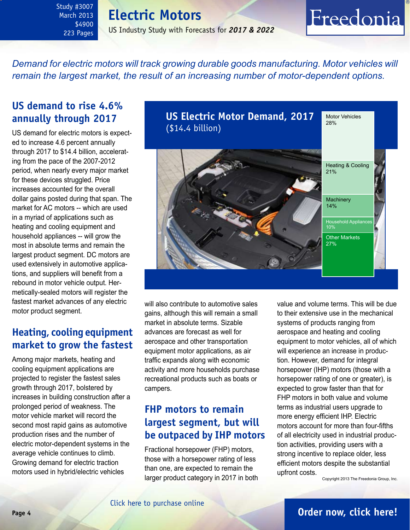## **Electric Motors**

US Industry Study with Forecasts for *2017 & 2022*

### *Demand for electric motors will track growing durable goods manufacturing. Motor vehicles will remain the largest market, the result of an increasing number of motor-dependent options.*

### **US demand to rise 4.6% annually through 2017**

<span id="page-3-0"></span>Study #3007 March 2013 \$4900 223 Pages

US demand for electric motors is expected to increase 4.6 percent annually through 2017 to \$14.4 billion, accelerating from the pace of the 2007-2012 period, when nearly every major market for these devices struggled. Price increases accounted for the overall dollar gains posted during that span. The market for AC motors -- which are used in a myriad of applications such as heating and cooling equipment and household appliances -- will grow the most in absolute terms and remain the largest product segment. DC motors are used extensively in automotive applications, and suppliers will benefit from a rebound in motor vehicle output. Hermetically-sealed motors will register the fastest market advances of any electric motor product segment.

### **Heating, cooling equipment market to grow the fastest**

Among major markets, heating and cooling equipment applications are projected to register the fastest sales growth through 2017, bolstered by increases in building construction after a prolonged period of weakness. The motor vehicle market will record the second most rapid gains as automotive production rises and the number of electric motor-dependent systems in the average vehicle continues to climb. Growing demand for electric traction motors used in hybrid/electric vehicles



will also contribute to automotive sales gains, although this will remain a small market in absolute terms. Sizable advances are forecast as well for aerospace and other transportation equipment motor applications, as air traffic expands along with economic activity and more households purchase recreational products such as boats or campers.

## **FHP motors to remain largest segment, but will be outpaced by IHP motors**

Fractional horsepower (FHP) motors, those with a horsepower rating of less than one, are expected to remain the larger product category in 2017 in both

value and volume terms. This will be due to their extensive use in the mechanical systems of products ranging from aerospace and heating and cooling equipment to motor vehicles, all of which will experience an increase in production. However, demand for integral horsepower (IHP) motors (those with a horsepower rating of one or greater), is expected to grow faster than that for FHP motors in both value and volume terms as industrial users upgrade to more energy efficient IHP. Electric motors account for more than four-fifths of all electricity used in industrial production activities, providing users with a strong incentive to replace older, less efficient motors despite the substantial upfront costs.

Copyright 2013 The Freedonia Group, Inc.

Freedonia

### **Page 4 [Order now, click here!](#page-6-0)**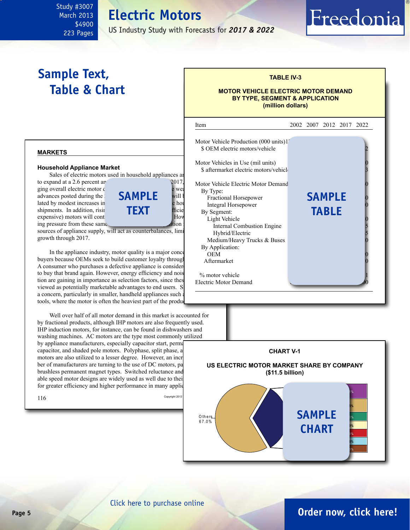#### <span id="page-4-0"></span>Study #3007 March 2013 \$4900 223 Pages

**Electric Motors**

US Industry Study with Forecasts for *2017 & 2022*

## **Sample Text, Table & Chart**

#### **TABLE IV-3**

Freedonia

#### **MOTOR VEHICLE ELECTRIC MOTOR DEMAND BY TYPE, SEGMENT & APPLICATION (million dollars)**

#### **markets**

#### **Household Appliance Market**

expensive) motors will cont

Sales of electric motors used in household appliances are



sources of appliance supply, will act as counterbalances, limit growth through 2017.

In the appliance industry, motor quality is a major concern  $\overrightarrow{OEM}$ buyers because OEMs seek to build customer loyalty through A consumer who purchases a defective appliance is consider to buy that brand again. However, energy efficiency and noise tion are gaining in importance as selection factors, since these viewed as potentially marketable advantages to end users. S a concern, particularly in smaller, handheld appliances such tools, where the motor is often the heaviest part of the produ-

Well over half of all motor demand in this market is accounted for by fractional products, although IHP motors are also frequently used. IHP induction motors, for instance, can be found in dishwashers and washing machines. AC motors are the type most commonly utilized by appliance manufacturers, especially capacitor start, permanent splitters capacitor, and shaded pole motors. Polyphase, split phase, a motors are also utilized to a lesser degree. However, an incr ber of manufacturers are turning to the use of DC motors, pa brushless permanent magnet types. Switched reluctance and able speed motor designs are widely used as well due to their for greater efficiency and higher performance in many applic





[Click here to purchase online](http://www.freedoniagroup.com/DocumentDetails.aspx?Referrerid=FM-Bro&StudyID=3007)

### **Page 5 [Order now, click here!](#page-6-0)**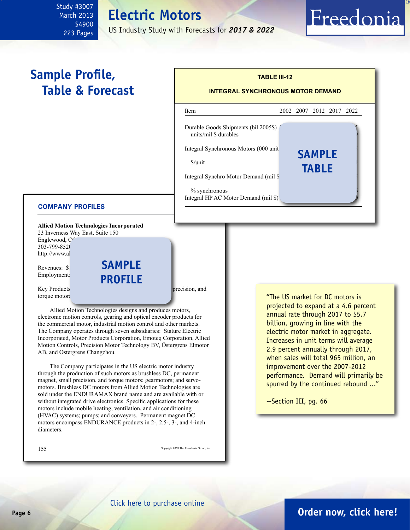#### <span id="page-5-0"></span>Study #3007 March 2013 \$4900 223 Pages

## **Electric Motors**

US Industry Study with Forecasts for *2017 & 2022*

## **Sample Profile, Table & Forecast**

| <b>TABLE III-12</b><br><b>INTEGRAL SYNCHRONOUS MOTOR DEMAND</b>                                                                                                                                                        |  |                               |                          |  |
|------------------------------------------------------------------------------------------------------------------------------------------------------------------------------------------------------------------------|--|-------------------------------|--------------------------|--|
| Item                                                                                                                                                                                                                   |  |                               | 2002 2007 2012 2017 2022 |  |
| Durable Goods Shipments (bil 2005\$)<br>units/mil \$ durables<br>Integral Synchronous Motors (000 unit)<br>$S/$ unit<br>Integral Synchro Motor Demand (mil \$<br>% synchronous<br>Integral HP AC Motor Demand (mil \$) |  | <b>SAMPLE</b><br><b>TABLE</b> |                          |  |

#### **COMPANY PROFILES**

**Allied Motion Technologies Incorporated**

23 Inverness Way East, Suite 150 Englewood,  $C^{\frown}$ 303-799-8520 http://www.al

Revenues: \$1 Employment: **sample profile**

Key Products: brushless DC, permanent magnetic magnetic magnetic magnetic magnetic magnetic magnetic magnetic magnetic magnetic magnetic magnetic magnetic magnetic magnetic magnetic magnetic magnetic magnetic magnetic magn torque motors

Allied Motion Technologies designs and produces motors, electronic motion controls, gearing and optical encoder products for the commercial motor, industrial motion control and other markets. The Company operates through seven subsidiaries: Stature Electric Incorporated, Motor Products Corporation, Emoteq Corporation, Allied Motion Controls, Precision Motor Technology BV, Östergrens Elmotor AB, and Ostergrens Changzhou.

The Company participates in the US electric motor industry through the production of such motors as brushless DC, permanent magnet, small precision, and torque motors; gearmotors; and servomotors. Brushless DC motors from Allied Motion Technologies are sold under the ENDURAMAX brand name and are available with or without integrated drive electronics. Specific applications for these motors include mobile heating, ventilation, and air conditioning (HVAC) systems; pumps; and conveyers. Permanent magnet DC motors encompass ENDURANCE products in 2-, 2.5-, 3-, and 4-inch diameters.

155 Copyright 2013 The Freedonia Group, Inc.

"The US market for DC motors is projected to expand at a 4.6 percent annual rate through 2017 to \$5.7 billion, growing in line with the electric motor market in aggregate. Increases in unit terms will average 2.9 percent annually through 2017, when sales will total 965 million, an improvement over the 2007-2012 performance. Demand will primarily be spurred by the continued rebound ..."

Freedonia

--Section III, pg. 66

### **Page 6 [Order now, click here!](#page-6-0)**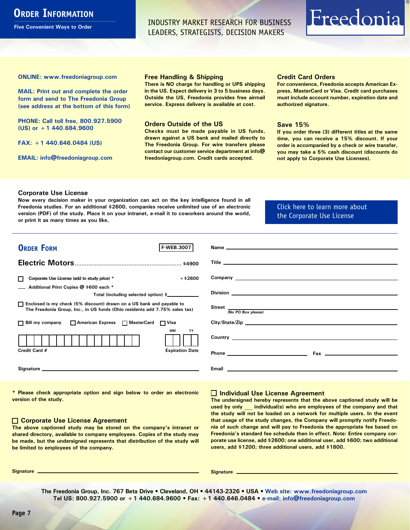## <span id="page-6-0"></span>**ORDER INFORMATION**

**Five Convenient Ways to Order**

INDUSTRY MARKET RESEARCH FOR BUSINESS LEADERS, STRATEGISTS, DECISION MAKERS

## Freedonia

**ONLINE: [www.freedoniagroup.com](http://www.freedoniagroup.com/DocumentDetails.aspx?Referrerid=FM-Bro&StudyID=3007)**

**MAIL: Print out and complete the order form and send to The Freedonia Group (see address at the bottom of this form)**

**PHONE: Call toll free, 800.927.5900 (US) or +1 440.684.9600**

**FAX: +1 440.646.0484 (US)**

**EMAIL: [info@freedoniagroup.com](mailto:info@freedoniagroup.com)**

#### **Free Handling & Shipping**

**There is NO charge for handling or UPS shipping in the US. Expect delivery in 3 to 5 business days. Outside the US, Freedonia provides free airmail service. Express delivery is available at cost.**

#### **Orders Outside of the US**

**Checks must be made payable in US funds, drawn against a US bank and mailed directly to The Freedonia Group. For wire transfers please contact our customer service department at info@ freedoniagroup.com. Credit cards accepted.**

#### **Credit Card Orders**

**For convenience, Freedonia accepts American Express, MasterCard or Visa. Credit card purchases must include account number, expiration date and authorized signature.**

#### **Save 15%**

**If you order three (3) different titles at the same time, you can receive a 15% discount. If your order is accompanied by a check or wire transfer, you may take a 5% cash discount (discounts do not apply to Corporate Use Licenses).**

#### **Corporate Use License**

**Now every decision maker in your organization can act on the key intelligence found in all Freedonia studies. For an additional \$2600, companies receive unlimited use of an electronic version (PDF) of the study. Place it on your intranet, e-mail it to coworkers around the world, or print it as many times as you like,** 

#### [Click here to learn more about](http://www.freedoniagroup.com/pdf/FreedoniaCULBro.pdf)  [the Corporate Use License](http://www.freedoniagroup.com/pdf/FreedoniaCULBro.pdf)

| <b>ORDER FORM</b><br><b>F-WEB.3007</b>                                                                                                                                                                                         |                                                                                                                                                                                                                                           |
|--------------------------------------------------------------------------------------------------------------------------------------------------------------------------------------------------------------------------------|-------------------------------------------------------------------------------------------------------------------------------------------------------------------------------------------------------------------------------------------|
|                                                                                                                                                                                                                                |                                                                                                                                                                                                                                           |
|                                                                                                                                                                                                                                |                                                                                                                                                                                                                                           |
|                                                                                                                                                                                                                                |                                                                                                                                                                                                                                           |
| $+$ \$2600<br>Corporate Use License (add to study price) *                                                                                                                                                                     |                                                                                                                                                                                                                                           |
| Additional Print Copies @ \$600 each *                                                                                                                                                                                         |                                                                                                                                                                                                                                           |
| Total (including selected option) \$                                                                                                                                                                                           |                                                                                                                                                                                                                                           |
| □ Enclosed is my check (5% discount) drawn on a US bank and payable to<br>The Freedonia Group, Inc., in US funds (Ohio residents add 7.75% sales tax)                                                                          | Street (No PO Box please)                                                                                                                                                                                                                 |
|                                                                                                                                                                                                                                |                                                                                                                                                                                                                                           |
| □ Bill my company □ American Express □ MasterCard □ Visa                                                                                                                                                                       | City/State/Zip experience and the contract of the contract of the contract of the contract of the contract of the contract of the contract of the contract of the contract of the contract of the contract of the contract of             |
| MМ<br>YY                                                                                                                                                                                                                       |                                                                                                                                                                                                                                           |
|                                                                                                                                                                                                                                | <b>Country</b> <u>the country of the country of the country of the country of the country of the country of the country of the country of the country of the country of the country of the country of the country of the country of t</u> |
| Credit Card #<br><b>Expiration Date</b>                                                                                                                                                                                        |                                                                                                                                                                                                                                           |
|                                                                                                                                                                                                                                |                                                                                                                                                                                                                                           |
| Signature experience and the state of the state of the state of the state of the state of the state of the state of the state of the state of the state of the state of the state of the state of the state of the state of th |                                                                                                                                                                                                                                           |
|                                                                                                                                                                                                                                |                                                                                                                                                                                                                                           |

**\* Please check appropriate option and sign below to order an electronic version of the study.**

#### **Corporate Use License Agreement**

**The above captioned study may be stored on the company's intranet or shared directory, available to company employees. Copies of the study may be made, but the undersigned represents that distribution of the study will be limited to employees of the company.**

#### **Individual Use License Agreement**

**The undersigned hereby represents that the above captioned study will be used by only \_\_\_ individual(s) who are employees of the company and that the study will not be loaded on a network for multiple users. In the event that usage of the study changes, the Company will promptly notify Freedonia of such change and will pay to Freedonia the appropriate fee based on Freedonia's standard fee schedule then in effect. Note: Entire company corporate use license, add \$2600; one additional user, add \$600; two additional users, add \$1200; three additional users, add \$1800.**

**Signature Signature**

**The Freedonia Group, Inc. 767 Beta Drive • Cleveland, OH • 44143-2326 • USA • [Web site: www.freedoniagroup.com](http://www.freedoniagroup.com/Home.aspx?ReferrerId=FM-Bro) Tel US: 800.927.5900 or +1 440.684.9600 • Fax: +1 440.646.0484 • [e-mail: info@freedoniagroup.com](mailto:info@freedoniagroup.com)**